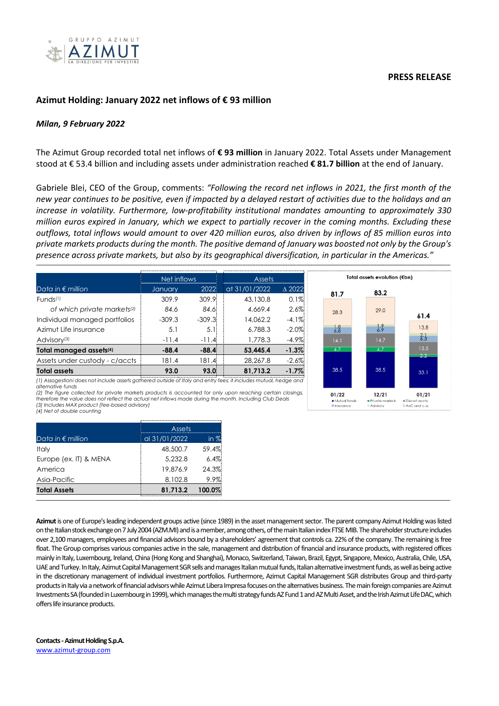

## **PRESS RELEASE**

# **Azimut Holding: January 2022 net inflows of € 93 million**

### *Milan, 9 February 2022*

The Azimut Group recorded total net inflows of **€ 93 million** in January 2022. Total Assets under Management stood at € 53.4 billion and including assets under administration reached **€ 81.7 billion** at the end of January.

Gabriele Blei, CEO of the Group, comments: *"Following the record net inflows in 2021, the first month of the new year continues to be positive, even if impacted by a delayed restart of activities due to the holidays and an increase in volatility. Furthermore, low-profitability institutional mandates amounting to approximately 330 million euros expired in January, which we expect to partially recover in the coming months. Excluding these outflows, total inflows would amount to over 420 million euros, also driven by inflows of 85 million euros into private markets products during the month. The positive demand of January was boosted not only by the Group's presence across private markets, but also by its geographical diversification, in particular in the Americas."*

| Net inflows |          | Assets        |                  |
|-------------|----------|---------------|------------------|
| January     | 2022     | at 31/01/2022 | $\triangle$ 2022 |
| 309.9       | 309.9    | 43,130.8      | 0.1%             |
| 84.6        | 84.6     | 4.669.4       | 2.6%             |
| $-309.3$    | $-309.3$ | 14.062.2      | $-4.1%$          |
| 5.1         | 5.1      | 6.788.3       | $-2.0\%$         |
| $-11.4$     | $-11.4$  | 1,778.3       | $-4.9\%$         |
| $-88.4$     | $-88.4$  | 53,445.4      | $-1.3\%$         |
| 181.4       | 181.4    | 28,267.8      | $-2.6\%$         |
| 93.0        | 93.0     | 81,713.2      | $-1.7\%$         |
|             |          |               |                  |



*(1) Assogestioni does not include assets gathered outside of Italy and entry fees; it includes mutual, hedge and alternative funds (2) The figure collected for private markets products is accounted for only upon reaching certain closings,* 

*therefore the value does not reflect the actual net inflows made during the month. Including Club Deals (3) Includes MAX product (fee-based advisory) (4) Net of double counting*

|                            | Assets        |        |  |
|----------------------------|---------------|--------|--|
| Data in $\epsilon$ million | al 31/01/2022 | in $%$ |  |
| Italy                      | 48,500.7      | 59.4%  |  |
| Europe (ex. IT) & MENA     | 5.232.8       | 6.4%   |  |
| America                    | 19,876.9      | 24.3%  |  |
| Asia-Pacific               | 8,102.8       | 9.9%   |  |
| <b>Total Assets</b>        | 81,713.2      | 100.0% |  |

**Azimut**is one of Europe's leading independent groups active (since 1989) in the asset management sector. The parent company Azimut Holding was listed on the Italian stock exchange on 7 July 2004 (AZM.MI) andis a member, among others, of the main Italian index FTSE MIB. The shareholder structure includes over 2,100 managers, employees and financial advisors bound by a shareholders' agreement that controls ca. 22% of the company. The remaining is free float. The Group comprises various companies active in the sale, management and distribution of financial and insurance products, with registered offices mainly in Italy, Luxembourg, Ireland, China (Hong Kong and Shanghai), Monaco, Switzerland, Taiwan, Brazil, Egypt, Singapore, Mexico, Australia, Chile, USA, UAE and Turkey. In Italy, Azimut Capital Management SGR sells and manages Italian mutual funds, Italian alternative investment funds, as well as being active in the discretionary management of individual investment portfolios. Furthermore, Azimut Capital Management SGR distributes Group and third-party products in Italy via a network of financial advisors while Azimut Libera Impresa focuses on the alternatives business. The main foreign companies are Azimut Investments SA (founded in Luxembourg in 1999), which manages the multi strategy funds AZ Fund 1 and AZ Multi Asset, and the Irish Azimut Life DAC, which offers life insurance products.

**\_\_\_\_\_\_\_\_\_\_\_\_\_\_\_\_\_\_\_\_\_\_\_\_\_\_\_\_\_\_\_\_\_\_\_\_\_\_\_\_\_\_\_\_\_\_\_\_\_\_\_\_\_\_\_\_\_\_\_\_\_\_\_\_\_\_\_\_\_\_\_\_\_\_\_\_\_\_\_\_\_\_\_\_\_\_\_\_\_\_\_\_\_\_\_\_\_\_\_\_\_\_\_\_\_\_\_\_\_\_\_\_\_\_\_\_\_\_\_\_\_\_\_\_\_\_\_\_\_\_\_\_\_\_\_\_\_\_\_\_\_\_\_\_\_\_\_\_\_\_\_\_\_\_\_\_\_\_\_\_\_\_\_\_\_\_\_\_\_\_\_\_\_\_\_\_\_\_\_\_\_\_\_\_\_\_\_\_\_\_\_\_\_\_\_\_\_\_\_\_\_\_\_\_\_\_\_\_\_\_\_\_\_\_\_\_\_\_\_\_\_\_\_\_\_\_\_\_\_\_\_\_\_\_\_\_\_\_\_\_\_\_\_\_\_\_\_\_**